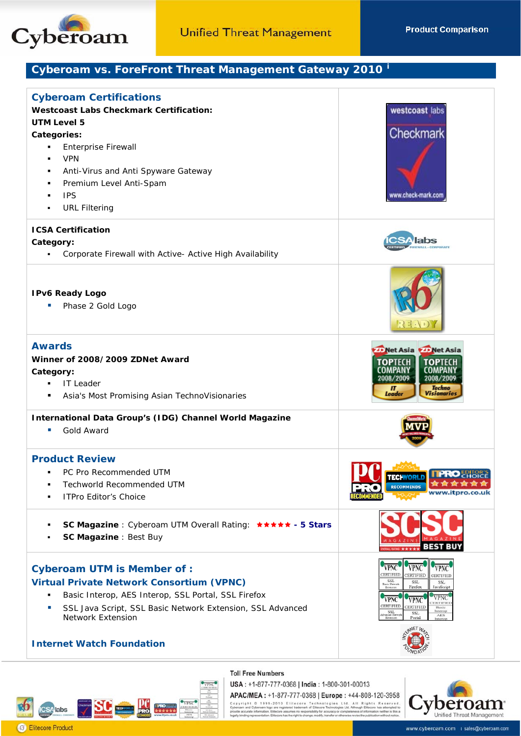

**Product Comparison** 

## Cyberoam vs. ForeFront Threat Management Gateway 2010<sup>1</sup>

| <b>Cyberoam Certifications</b><br><b>Westcoast Labs Checkmark Certification:</b><br><b>UTM Level 5</b><br>Categories:<br><b>Enterprise Firewall</b><br>٠<br><b>VPN</b><br>٠<br>Anti-Virus and Anti Spyware Gateway<br>٠<br>Premium Level Anti-Spam<br>٠<br><b>IPS</b><br><b>URL Filtering</b><br>٠ | westcoast labs<br>Checkmark<br>www.check-mark.com                                                                                                                                                                                                                                                                                                                |
|----------------------------------------------------------------------------------------------------------------------------------------------------------------------------------------------------------------------------------------------------------------------------------------------------|------------------------------------------------------------------------------------------------------------------------------------------------------------------------------------------------------------------------------------------------------------------------------------------------------------------------------------------------------------------|
| <b>ICSA Certification</b><br>Category:<br>Corporate Firewall with Active- Active High Availability                                                                                                                                                                                                 |                                                                                                                                                                                                                                                                                                                                                                  |
| <b>IPv6 Ready Logo</b><br>Phase 2 Gold Logo                                                                                                                                                                                                                                                        |                                                                                                                                                                                                                                                                                                                                                                  |
| <b>Awards</b><br>Winner of 2008/2009 ZDNet Award<br>Category:<br><b>IT Leader</b><br>Asia's Most Promising Asian TechnoVisionaries<br>٠                                                                                                                                                            | Net Asia <b>Det Asia</b><br><b>TOP</b> TECH<br><b>TOPTECH</b><br>2008/2009<br>2008/2009<br><b>Techno</b><br>IT<br>Leader<br>Visionaries                                                                                                                                                                                                                          |
| International Data Group's (IDG) Channel World Magazine<br>Gold Award<br>ш                                                                                                                                                                                                                         |                                                                                                                                                                                                                                                                                                                                                                  |
| <b>Product Review</b><br>PC Pro Recommended UTM<br>Techworld Recommended UTM<br><b>ITPro Editor's Choice</b>                                                                                                                                                                                       | <b>RECOMMENDS</b>                                                                                                                                                                                                                                                                                                                                                |
| SC Magazine : Cyberoam UTM Overall Rating: ***** - 5 Stars<br>٠<br>SC Magazine : Best Buy                                                                                                                                                                                                          | 35T                                                                                                                                                                                                                                                                                                                                                              |
| <b>Cyberoam UTM is Member of:</b><br><b>Virtual Private Network Consortium (VPNC)</b><br>Basic Interop, AES Interop, SSL Portal, SSL Firefox<br>٠<br>SSL Java Script, SSL Basic Network Extension, SSL Advanced<br>U.<br>Network Extension<br><b>Internet Watch Foundation</b>                     | <b>VPNC</b><br>CERTIFIED<br>CERTIFIED<br>CERTIFIED<br>SSL<br>SSL<br>SSL<br>Rasic Matwor<br>Firefox<br>JavaScript<br>Extension<br><b>VPNC</b><br><b>VPNC</b><br><b>VPNC</b><br>ERTIFIEI<br>CERTIFIED<br>CERTIFIED<br>Basic<br>Interop<br>$\begin{array}{c} \text{SSL} \\ \text{in,red Herwer} \\ \text{Thenusion} \end{array}$<br>SSL<br>AES<br>Interop<br>Portal |



**Toll Free Numbers** 

USA: +1-877-777-0368 | India: 1-800-301-00013 APAC/MEA: +1-877-777-0368 | Europe: +44-808-120-3958

Copyright © 1999-2010 Elitecore Technologies Ltd. All Rights Reserved Companies (Companies Reserved<br>Cyberbam and Cyberoam logoare registered trademark of Elitecore Technologies Ltd. Although Elitecore has attempted t<br>prov



www.cyberoam.com | sales@cyberoam.com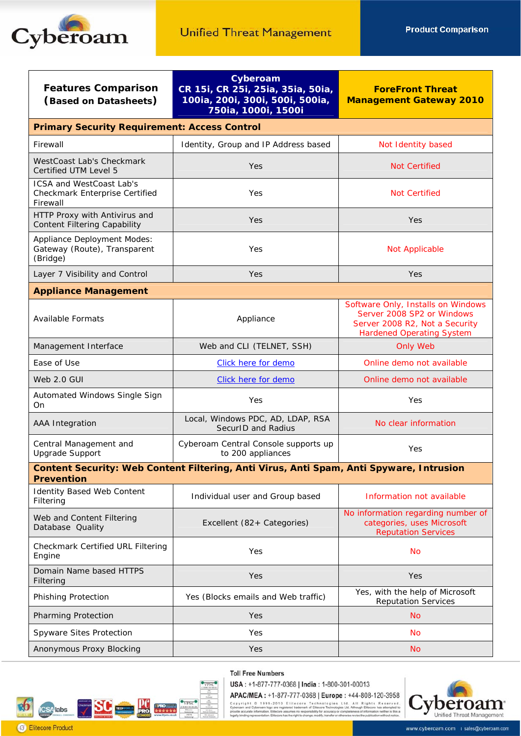

| <b>Features Comparison</b><br>(Based on Datasheets)                                                          | Cyberoam<br>CR 15i, CR 25i, 25ia, 35ia, 50ia,<br>100ia, 200i, 300i, 500i, 500ia,<br>750ia, 1000i, 1500i | <b>ForeFront Threat</b><br><b>Management Gateway 2010</b>                                                                              |  |
|--------------------------------------------------------------------------------------------------------------|---------------------------------------------------------------------------------------------------------|----------------------------------------------------------------------------------------------------------------------------------------|--|
| <b>Primary Security Requirement: Access Control</b>                                                          |                                                                                                         |                                                                                                                                        |  |
| Firewall                                                                                                     | Identity, Group and IP Address based                                                                    | Not Identity based                                                                                                                     |  |
| WestCoast Lab's Checkmark<br>Certified UTM Level 5                                                           | Yes                                                                                                     | <b>Not Certified</b>                                                                                                                   |  |
| <b>ICSA and WestCoast Lab's</b><br>Checkmark Enterprise Certified<br>Firewall                                | Yes                                                                                                     | <b>Not Certified</b>                                                                                                                   |  |
| HTTP Proxy with Antivirus and<br><b>Content Filtering Capability</b>                                         | Yes                                                                                                     | Yes                                                                                                                                    |  |
| <b>Appliance Deployment Modes:</b><br>Gateway (Route), Transparent<br>(Bridge)                               | Yes                                                                                                     | Not Applicable                                                                                                                         |  |
| Layer 7 Visibility and Control                                                                               | Yes                                                                                                     | Yes                                                                                                                                    |  |
| <b>Appliance Management</b>                                                                                  |                                                                                                         |                                                                                                                                        |  |
| <b>Available Formats</b>                                                                                     | Appliance                                                                                               | Software Only, Installs on Windows<br>Server 2008 SP2 or Windows<br>Server 2008 R2, Not a Security<br><b>Hardened Operating System</b> |  |
| Management Interface                                                                                         | Web and CLI (TELNET, SSH)                                                                               | <b>Only Web</b>                                                                                                                        |  |
| Ease of Use                                                                                                  | Click here for demo                                                                                     | Online demo not available                                                                                                              |  |
| Web 2.0 GUI                                                                                                  | Click here for demo                                                                                     | Online demo not available                                                                                                              |  |
| Automated Windows Single Sign<br>On                                                                          | Yes                                                                                                     | Yes                                                                                                                                    |  |
| AAA Integration                                                                                              | Local, Windows PDC, AD, LDAP, RSA<br>SecurID and Radius                                                 | No clear information                                                                                                                   |  |
| Central Management and<br><b>Upgrade Support</b>                                                             | Cyberoam Central Console supports up<br>to 200 appliances                                               | Yes                                                                                                                                    |  |
| Content Security: Web Content Filtering, Anti Virus, Anti Spam, Anti Spyware, Intrusion<br><b>Prevention</b> |                                                                                                         |                                                                                                                                        |  |
| <b>Identity Based Web Content</b><br>Filtering                                                               | Individual user and Group based                                                                         | Information not available                                                                                                              |  |
| Web and Content Filtering<br>Database Quality                                                                | Excellent (82+ Categories)                                                                              | No information regarding number of<br>categories, uses Microsoft<br><b>Reputation Services</b>                                         |  |
| Checkmark Certified URL Filtering<br>Engine                                                                  | Yes                                                                                                     | No                                                                                                                                     |  |
| Domain Name based HTTPS<br>Filtering                                                                         | Yes                                                                                                     | Yes                                                                                                                                    |  |
| Phishing Protection                                                                                          | Yes (Blocks emails and Web traffic)                                                                     | Yes, with the help of Microsoft<br><b>Reputation Services</b>                                                                          |  |
| Pharming Protection                                                                                          | Yes                                                                                                     | <b>No</b>                                                                                                                              |  |
| Spyware Sites Protection                                                                                     | Yes                                                                                                     | No                                                                                                                                     |  |
| Anonymous Proxy Blocking                                                                                     | Yes                                                                                                     | <b>No</b>                                                                                                                              |  |



**Toll Free Numbers** 

USA: +1-877-777-0368 | India: 1-800-301-00013

APAC/MEA: +1-877-777-0368 | Europe: +44-808-120-3958

 $\pmb{APAC / MEA}: \vspace{10pt} \vspace{10pt} \vspace{10pt} \vspace{10pt} \vspace{10pt} \vspace{10pt} \vspace{10pt} \vspace{10pt} \vspace{10pt} \vspace{10pt} \vspace{10pt} \vspace{10pt} \vspace{10pt} \vspace{10pt} \vspace{10pt} \vspace{10pt} \vspace{10pt} \vspace{10pt} \vspace{10pt} \vspace{10pt} \vspace{10pt} \vspace{10pt} \vspace{10pt} \vspace{10pt} \vspace{10pt} \vspace{10pt} \v$ 

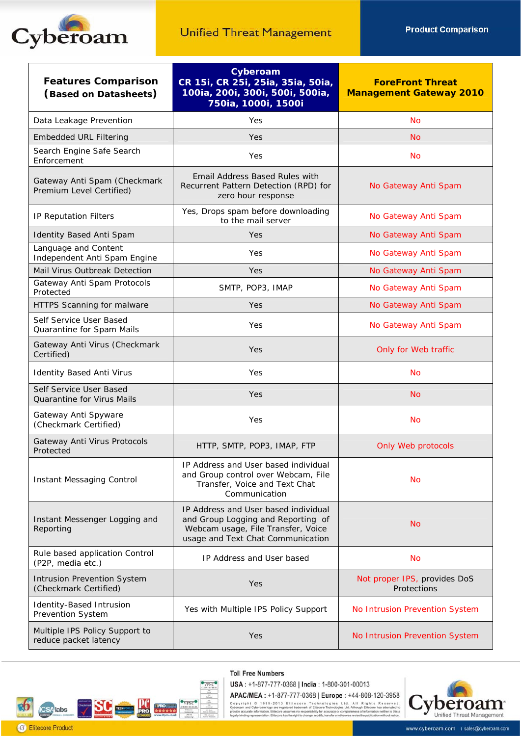

| <b>Features Comparison</b><br>(Based on Datasheets)         | Cyberoam<br>CR 15i, CR 25i, 25ia, 35ia, 50ia,<br>100ia, 200i, 300i, 500i, 500ia,<br>750ia, 1000i, 1500i                                               | <b>ForeFront Threat</b><br><b>Management Gateway 2010</b> |  |
|-------------------------------------------------------------|-------------------------------------------------------------------------------------------------------------------------------------------------------|-----------------------------------------------------------|--|
| Data Leakage Prevention                                     | Yes                                                                                                                                                   | <b>No</b>                                                 |  |
| <b>Embedded URL Filtering</b>                               | Yes                                                                                                                                                   | <b>No</b>                                                 |  |
| Search Engine Safe Search<br>Enforcement                    | Yes                                                                                                                                                   | <b>No</b>                                                 |  |
| Gateway Anti Spam (Checkmark<br>Premium Level Certified)    | Email Address Based Rules with<br>Recurrent Pattern Detection (RPD) for<br>zero hour response                                                         | No Gateway Anti Spam                                      |  |
| IP Reputation Filters                                       | Yes, Drops spam before downloading<br>to the mail server                                                                                              | No Gateway Anti Spam                                      |  |
| <b>Identity Based Anti Spam</b>                             | Yes                                                                                                                                                   | No Gateway Anti Spam                                      |  |
| Language and Content<br>Independent Anti Spam Engine        | Yes                                                                                                                                                   | No Gateway Anti Spam                                      |  |
| Mail Virus Outbreak Detection                               | Yes                                                                                                                                                   | No Gateway Anti Spam                                      |  |
| Gateway Anti Spam Protocols<br>Protected                    | SMTP, POP3, IMAP                                                                                                                                      | No Gateway Anti Spam                                      |  |
| HTTPS Scanning for malware                                  | Yes                                                                                                                                                   | No Gateway Anti Spam                                      |  |
| Self Service User Based<br>Quarantine for Spam Mails        | Yes                                                                                                                                                   | No Gateway Anti Spam                                      |  |
| Gateway Anti Virus (Checkmark<br>Certified)                 | Yes                                                                                                                                                   | Only for Web traffic                                      |  |
| <b>Identity Based Anti Virus</b>                            | Yes                                                                                                                                                   | <b>No</b>                                                 |  |
| Self Service User Based<br>Quarantine for Virus Mails       | Yes                                                                                                                                                   | <b>No</b>                                                 |  |
| Gateway Anti Spyware<br>(Checkmark Certified)               | Yes                                                                                                                                                   | <b>No</b>                                                 |  |
| Gateway Anti Virus Protocols<br>Protected                   | HTTP, SMTP, POP3, IMAP, FTP                                                                                                                           | Only Web protocols                                        |  |
| <b>Instant Messaging Control</b>                            | IP Address and User based individual<br>and Group control over Webcam, File<br>Transfer, Voice and Text Chat<br>Communication                         | <b>No</b>                                                 |  |
| Instant Messenger Logging and<br>Reporting                  | IP Address and User based individual<br>and Group Logging and Reporting of<br>Webcam usage, File Transfer, Voice<br>usage and Text Chat Communication | <b>No</b>                                                 |  |
| Rule based application Control<br>(P2P, media etc.)         | IP Address and User based                                                                                                                             | <b>No</b>                                                 |  |
| <b>Intrusion Prevention System</b><br>(Checkmark Certified) | Yes                                                                                                                                                   | Not proper IPS, provides DoS<br>Protections               |  |
| <b>Identity-Based Intrusion</b><br>Prevention System        | Yes with Multiple IPS Policy Support                                                                                                                  | No Intrusion Prevention System                            |  |
| Multiple IPS Policy Support to<br>reduce packet latency     | Yes                                                                                                                                                   | No Intrusion Prevention System                            |  |



**Toll Free Numbers** 

USA: +1-877-777-0368 | India: 1-800-301-00013

APAC/MEA: +1-877-777-0368 | Europe: +44-808-120-3958

Copyright = 0 1999-2010 Elitecore Technologies Ltd. All Rights Reserved.<br>Cyberoam and Cyberoam logo are registered trademark of Elitecore Technologies Ltd. All Rights Reserved.<br>provide accurate information, Elitecore assum

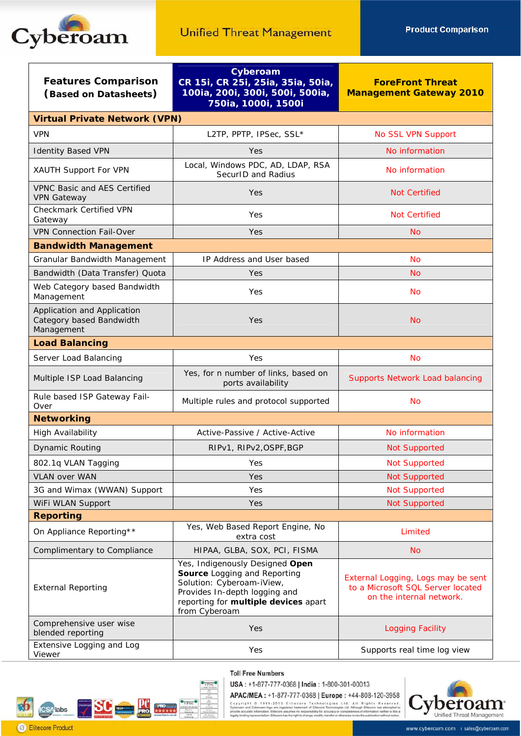

| <b>Features Comparison</b><br>(Based on Datasheets)                   | Cyberoam<br>CR 15i, CR 25i, 25ia, 35ia, 50ia,<br>100ia, 200i, 300i, 500i, 500ia,<br>750ia, 1000i, 1500i                                                                                | <b>ForeFront Threat</b><br><b>Management Gateway 2010</b>                                           |  |  |
|-----------------------------------------------------------------------|----------------------------------------------------------------------------------------------------------------------------------------------------------------------------------------|-----------------------------------------------------------------------------------------------------|--|--|
| <b>Virtual Private Network (VPN)</b>                                  |                                                                                                                                                                                        |                                                                                                     |  |  |
| <b>VPN</b>                                                            | L2TP, PPTP, IPSec, SSL*                                                                                                                                                                | No SSL VPN Support                                                                                  |  |  |
| <b>Identity Based VPN</b>                                             | Yes                                                                                                                                                                                    | No information                                                                                      |  |  |
| XAUTH Support For VPN                                                 | Local, Windows PDC, AD, LDAP, RSA<br>SecurID and Radius                                                                                                                                | No information                                                                                      |  |  |
| <b>VPNC Basic and AES Certified</b><br><b>VPN Gateway</b>             | Yes                                                                                                                                                                                    | <b>Not Certified</b>                                                                                |  |  |
| Checkmark Certified VPN<br>Gateway                                    | Yes                                                                                                                                                                                    | <b>Not Certified</b>                                                                                |  |  |
| <b>VPN Connection Fail-Over</b>                                       | Yes                                                                                                                                                                                    | <b>No</b>                                                                                           |  |  |
| <b>Bandwidth Management</b>                                           |                                                                                                                                                                                        |                                                                                                     |  |  |
| Granular Bandwidth Management                                         | IP Address and User based                                                                                                                                                              | <b>No</b>                                                                                           |  |  |
| Bandwidth (Data Transfer) Quota                                       | Yes                                                                                                                                                                                    | <b>No</b>                                                                                           |  |  |
| Web Category based Bandwidth<br>Management                            | Yes                                                                                                                                                                                    | <b>No</b>                                                                                           |  |  |
| Application and Application<br>Category based Bandwidth<br>Management | Yes                                                                                                                                                                                    | <b>No</b>                                                                                           |  |  |
| <b>Load Balancing</b>                                                 |                                                                                                                                                                                        |                                                                                                     |  |  |
| Server Load Balancing                                                 | Yes                                                                                                                                                                                    | <b>No</b>                                                                                           |  |  |
| Multiple ISP Load Balancing                                           | Yes, for n number of links, based on<br>ports availability                                                                                                                             | <b>Supports Network Load balancing</b>                                                              |  |  |
| Rule based ISP Gateway Fail-<br>Over                                  | Multiple rules and protocol supported                                                                                                                                                  | <b>No</b>                                                                                           |  |  |
| <b>Networking</b>                                                     |                                                                                                                                                                                        |                                                                                                     |  |  |
| High Availability                                                     | Active-Passive / Active-Active                                                                                                                                                         | No information                                                                                      |  |  |
| <b>Dynamic Routing</b>                                                | RIPv1, RIPv2, OSPF, BGP                                                                                                                                                                | <b>Not Supported</b>                                                                                |  |  |
| 802.1q VLAN Tagging                                                   | Yes                                                                                                                                                                                    | <b>Not Supported</b>                                                                                |  |  |
| <b>VLAN over WAN</b>                                                  | Yes.                                                                                                                                                                                   | <b>Not Supported</b>                                                                                |  |  |
| 3G and Wimax (WWAN) Support                                           | Yes                                                                                                                                                                                    | <b>Not Supported</b>                                                                                |  |  |
| WiFi WLAN Support                                                     | Yes                                                                                                                                                                                    | <b>Not Supported</b>                                                                                |  |  |
| <b>Reporting</b>                                                      |                                                                                                                                                                                        |                                                                                                     |  |  |
| On Appliance Reporting**                                              | Yes, Web Based Report Engine, No<br>extra cost                                                                                                                                         | Limited                                                                                             |  |  |
| Complimentary to Compliance                                           | HIPAA, GLBA, SOX, PCI, FISMA                                                                                                                                                           | <b>No</b>                                                                                           |  |  |
| <b>External Reporting</b>                                             | Yes, Indigenously Designed Open<br>Source Logging and Reporting<br>Solution: Cyberoam-iView,<br>Provides In-depth logging and<br>reporting for multiple devices apart<br>from Cyberoam | External Logging, Logs may be sent<br>to a Microsoft SQL Server located<br>on the internal network. |  |  |
| Comprehensive user wise<br>blended reporting                          | Yes                                                                                                                                                                                    | <b>Logging Facility</b>                                                                             |  |  |
| Extensive Logging and Log<br>Viewer                                   | Yes                                                                                                                                                                                    | Supports real time log view                                                                         |  |  |



**SC** VPN  $\overline{\mathcal{C}}$ **SA**labs **B** Elitecore Product

USA: +1-877-777-0368 | India: 1-800-301-00013

APAC/MEA: +1-877-777-0368 | Europe: +44-808-120-3958 Copyright = 0 1999-2010 Elitecore Technologies Ltd. All Rights Reserved.<br>Cyberoam and Cyberoam logo are registered trademark of Elitecore Technologies Ltd. All Rights Reserved.<br>provide accurate information, Elitecore assum

beroam Unified Threat Management